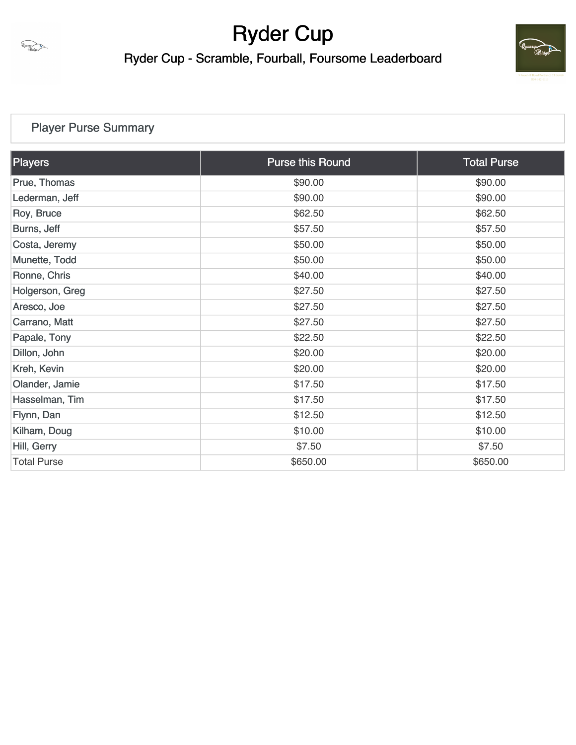

Ryder Cup - Scramble, Fourball, Foursome Leaderboard



## [Player Purse Summary](https://static.golfgenius.com/v2tournaments/total_purse?league_id=8427842468803787432&round_id=8427842574198258562)

| <b>Players</b>     | <b>Purse this Round</b> | <b>Total Purse</b> |
|--------------------|-------------------------|--------------------|
| Prue, Thomas       | \$90.00                 | \$90.00            |
| Lederman, Jeff     | \$90.00                 | \$90.00            |
| Roy, Bruce         | \$62.50                 | \$62.50            |
| Burns, Jeff        | \$57.50                 | \$57.50            |
| Costa, Jeremy      | \$50.00                 | \$50.00            |
| Munette, Todd      | \$50.00                 | \$50.00            |
| Ronne, Chris       | \$40.00                 | \$40.00            |
| Holgerson, Greg    | \$27.50                 | \$27.50            |
| Aresco, Joe        | \$27.50                 | \$27.50            |
| Carrano, Matt      | \$27.50                 | \$27.50            |
| Papale, Tony       | \$22.50                 | \$22.50            |
| Dillon, John       | \$20.00                 | \$20.00            |
| Kreh, Kevin        | \$20.00                 | \$20.00            |
| Olander, Jamie     | \$17.50                 | \$17.50            |
| Hasselman, Tim     | \$17.50                 | \$17.50            |
| Flynn, Dan         | \$12.50                 | \$12.50            |
| Kilham, Doug       | \$10.00                 | \$10.00            |
| Hill, Gerry        | \$7.50                  | \$7.50             |
| <b>Total Purse</b> | \$650.00                | \$650.00           |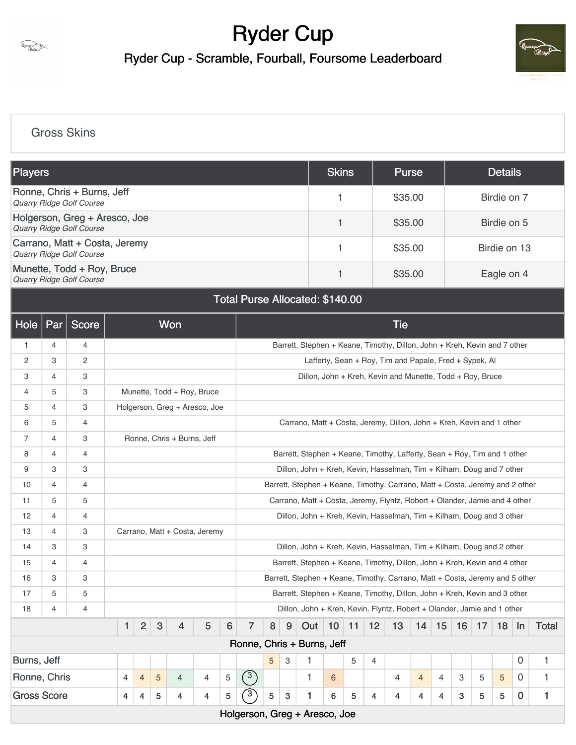

Ryder Cup - Scramble, Fourball, Foursome Leaderboard



### [Gross Skins](https://static.golfgenius.com/v2tournaments/8430350535424490140?called_from=&round_index=1)

| <b>Players</b>                                                   | <b>Skins</b> | <b>Purse</b> | <b>Details</b> |
|------------------------------------------------------------------|--------------|--------------|----------------|
| Ronne, Chris + Burns, Jeff<br><b>Quarry Ridge Golf Course</b>    |              | \$35.00      | Birdie on 7    |
| Holgerson, Greg + Aresco, Joe<br><b>Quarry Ridge Golf Course</b> |              | \$35.00      | Birdie on 5    |
| Carrano, Matt + Costa, Jeremy<br>Quarry Ridge Golf Course        |              | \$35.00      | Birdie on 13   |
| Munette, Todd + Roy, Bruce<br><b>Quarry Ridge Golf Course</b>    |              | \$35.00      | Eagle on 4     |

### Total Purse Allocated: \$140.00

| Hole                                           | Par                                                                                                                                                                 | Score        |  |                                |              | Won                                                                   |                |                 |                                                                              |         |   |                                                                              |    |    |    | <b>Tie</b>                                                |                |    |    |    |    |             |              |
|------------------------------------------------|---------------------------------------------------------------------------------------------------------------------------------------------------------------------|--------------|--|--------------------------------|--------------|-----------------------------------------------------------------------|----------------|-----------------|------------------------------------------------------------------------------|---------|---|------------------------------------------------------------------------------|----|----|----|-----------------------------------------------------------|----------------|----|----|----|----|-------------|--------------|
| 1                                              | 4                                                                                                                                                                   | 4            |  |                                |              |                                                                       |                |                 |                                                                              |         |   | Barrett, Stephen + Keane, Timothy, Dillon, John + Kreh, Kevin and 7 other    |    |    |    |                                                           |                |    |    |    |    |             |              |
| $\overline{c}$                                 | 3                                                                                                                                                                   | $\mathbf{2}$ |  |                                |              |                                                                       |                |                 |                                                                              |         |   |                                                                              |    |    |    | Lafferty, Sean + Roy, Tim and Papale, Fred + Sypek, Al    |                |    |    |    |    |             |              |
| 3                                              | 4                                                                                                                                                                   | 3            |  |                                |              |                                                                       |                |                 |                                                                              |         |   |                                                                              |    |    |    | Dillon, John + Kreh, Kevin and Munette, Todd + Roy, Bruce |                |    |    |    |    |             |              |
| 4                                              | 5                                                                                                                                                                   | 3            |  |                                |              | Munette, Todd + Roy, Bruce                                            |                |                 |                                                                              |         |   |                                                                              |    |    |    |                                                           |                |    |    |    |    |             |              |
| 5                                              | 4                                                                                                                                                                   | 3            |  |                                |              | Holgerson, Greg + Aresco, Joe                                         |                |                 |                                                                              |         |   |                                                                              |    |    |    |                                                           |                |    |    |    |    |             |              |
| 6                                              | 5                                                                                                                                                                   | 4            |  |                                |              |                                                                       |                |                 |                                                                              |         |   | Carrano, Matt + Costa, Jeremy, Dillon, John + Kreh, Kevin and 1 other        |    |    |    |                                                           |                |    |    |    |    |             |              |
| $\overline{7}$                                 | $\overline{4}$                                                                                                                                                      | 3            |  |                                |              | Ronne, Chris + Burns, Jeff                                            |                |                 |                                                                              |         |   |                                                                              |    |    |    |                                                           |                |    |    |    |    |             |              |
| 8                                              | 4                                                                                                                                                                   | 4            |  |                                |              |                                                                       |                |                 | Barrett, Stephen + Keane, Timothy, Lafferty, Sean + Roy, Tim and 1 other     |         |   |                                                                              |    |    |    |                                                           |                |    |    |    |    |             |              |
| 9                                              | 3                                                                                                                                                                   | 3            |  |                                |              | Dillon, John + Kreh, Kevin, Hasselman, Tim + Kilham, Doug and 7 other |                |                 |                                                                              |         |   |                                                                              |    |    |    |                                                           |                |    |    |    |    |             |              |
| 10                                             | $\overline{4}$                                                                                                                                                      | 4            |  |                                |              |                                                                       |                |                 | Barrett, Stephen + Keane, Timothy, Carrano, Matt + Costa, Jeremy and 2 other |         |   |                                                                              |    |    |    |                                                           |                |    |    |    |    |             |              |
| 11                                             | 5                                                                                                                                                                   | 5            |  |                                |              |                                                                       |                |                 |                                                                              |         |   | Carrano, Matt + Costa, Jeremy, Flyntz, Robert + Olander, Jamie and 4 other   |    |    |    |                                                           |                |    |    |    |    |             |              |
| 12                                             | $\overline{4}$                                                                                                                                                      | 4            |  |                                |              |                                                                       |                |                 |                                                                              |         |   | Dillon, John + Kreh, Kevin, Hasselman, Tim + Kilham, Doug and 3 other        |    |    |    |                                                           |                |    |    |    |    |             |              |
| 13                                             | 4                                                                                                                                                                   | 3            |  |                                |              | Carrano, Matt + Costa, Jeremy                                         |                |                 |                                                                              |         |   |                                                                              |    |    |    |                                                           |                |    |    |    |    |             |              |
| 14                                             | 3                                                                                                                                                                   | 3            |  |                                |              |                                                                       |                |                 |                                                                              |         |   | Dillon, John + Kreh, Kevin, Hasselman, Tim + Kilham, Doug and 2 other        |    |    |    |                                                           |                |    |    |    |    |             |              |
| 15                                             | $\overline{4}$                                                                                                                                                      | 4            |  |                                |              |                                                                       |                |                 |                                                                              |         |   | Barrett, Stephen + Keane, Timothy, Dillon, John + Kreh, Kevin and 4 other    |    |    |    |                                                           |                |    |    |    |    |             |              |
| 16                                             | 3                                                                                                                                                                   | 3            |  |                                |              |                                                                       |                |                 |                                                                              |         |   | Barrett, Stephen + Keane, Timothy, Carrano, Matt + Costa, Jeremy and 5 other |    |    |    |                                                           |                |    |    |    |    |             |              |
| 17                                             | 5                                                                                                                                                                   | 5            |  |                                |              |                                                                       |                |                 |                                                                              |         |   | Barrett, Stephen + Keane, Timothy, Dillon, John + Kreh, Kevin and 3 other    |    |    |    |                                                           |                |    |    |    |    |             |              |
| 18                                             | $\overline{4}$                                                                                                                                                      | 4            |  |                                |              |                                                                       |                |                 |                                                                              |         |   | Dillon, John + Kreh, Kevin, Flyntz, Robert + Olander, Jamie and 1 other      |    |    |    |                                                           |                |    |    |    |    |             |              |
|                                                |                                                                                                                                                                     |              |  | $\overline{2}$<br>$\mathbf{1}$ | $\mathbf{3}$ | 4                                                                     | 5              | $6\phantom{1}6$ | $\overline{7}$                                                               | $\bf 8$ | 9 | Out                                                                          | 10 | 11 | 12 | 13                                                        | 14             | 15 | 16 | 17 | 18 | $\ln$       | <b>Total</b> |
|                                                | Ronne, Chris + Burns, Jeff                                                                                                                                          |              |  |                                |              |                                                                       |                |                 |                                                                              |         |   |                                                                              |    |    |    |                                                           |                |    |    |    |    |             |              |
| 5<br>Burns, Jeff<br>3<br>1<br>5<br>0<br>1<br>4 |                                                                                                                                                                     |              |  |                                |              |                                                                       |                |                 |                                                                              |         |   |                                                                              |    |    |    |                                                           |                |    |    |    |    |             |              |
| Ronne, Chris                                   |                                                                                                                                                                     |              |  | 4<br>$\overline{4}$            | $\sqrt{5}$   | $\overline{4}$                                                        | $\overline{4}$ | 5               | $\sqrt{3}$                                                                   |         |   | $\mathbf{1}$                                                                 | 6  |    |    | 4                                                         | $\overline{4}$ | 4  | 3  | 5  | 5  | $\mathbf 0$ | $\mathbf{1}$ |
|                                                | $\overline{3}$<br>5<br>$\mathbf{1}$<br><b>Gross Score</b><br>5<br>5<br>3<br>1<br>5<br>$\sqrt{5}$<br>$\bf{0}$<br>6<br>4<br>3<br>5<br>4<br>4<br>4<br>4<br>4<br>4<br>4 |              |  |                                |              |                                                                       |                |                 |                                                                              |         |   |                                                                              |    |    |    |                                                           |                |    |    |    |    |             |              |
|                                                |                                                                                                                                                                     |              |  |                                |              |                                                                       |                |                 |                                                                              |         |   | Holgerson, Greg + Aresco, Joe                                                |    |    |    |                                                           |                |    |    |    |    |             |              |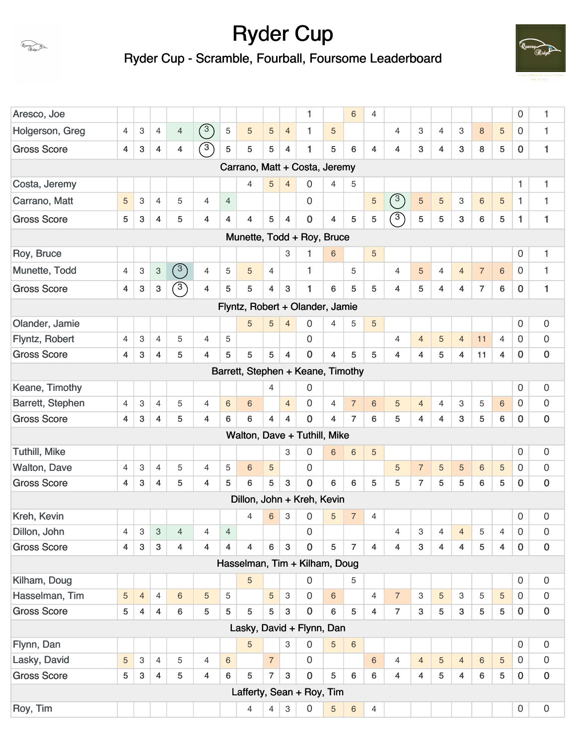

Ryder Cup - Scramble, Fourball, Foursome Leaderboard



| Aresco, Joe          |                |                |                           |                |                |                 |   |                |                           | 1                                 |                | $\,6$          | $\overline{4}$ |                         |                           |                |                           |                |                | 0                   | 1                   |
|----------------------|----------------|----------------|---------------------------|----------------|----------------|-----------------|---|----------------|---------------------------|-----------------------------------|----------------|----------------|----------------|-------------------------|---------------------------|----------------|---------------------------|----------------|----------------|---------------------|---------------------|
| Holgerson, Greg      | $\overline{4}$ | 3              | $\overline{4}$            | $\overline{4}$ | $\circled{3}$  | 5               | 5 | 5              | $\overline{4}$            | $\mathbf{1}$                      | 5              |                |                | $\overline{4}$          | 3                         | $\overline{4}$ | 3                         | $\,8\,$        | 5              | 0                   | 1                   |
| <b>Gross Score</b>   | 4              | 3              | 4                         | $\overline{4}$ | $\bigcirc$     | 5               | 5 | 5              | 4                         | $\mathbf{1}$                      | 5              | 6              | $\overline{4}$ | 4                       | 3                         | $\overline{4}$ | 3                         | 8              | 5              | $\mathbf 0$         | 1                   |
|                      |                |                |                           |                |                |                 |   |                |                           | Carrano, Matt + Costa, Jeremy     |                |                |                |                         |                           |                |                           |                |                |                     |                     |
| Costa, Jeremy        |                |                |                           |                |                |                 | 4 | 5              | $\overline{4}$            | 0                                 | $\overline{4}$ | 5              |                |                         |                           |                |                           |                |                | 1                   | 1                   |
| Carrano, Matt        | 5              | 3              | $\overline{4}$            | 5              | $\overline{4}$ | $\overline{4}$  |   |                |                           | 0                                 |                |                | 5              | (3)                     | $\sqrt{5}$                | 5              | 3                         | $6\phantom{1}$ | $\overline{5}$ | 1                   | 1                   |
| <b>Gross Score</b>   | 5              | 3              | 4                         | 5              | 4              | 4               | 4 | 5              | $\overline{4}$            | $\pmb{0}$                         | 4              | 5              | 5              | $\sqrt{3}$              | 5                         | 5              | $\mathbf{3}$              | 6              | 5              | 1                   | 1                   |
|                      |                |                |                           |                |                |                 |   |                |                           | Munette, Todd + Roy, Bruce        |                |                |                |                         |                           |                |                           |                |                |                     |                     |
| Roy, Bruce           |                |                |                           |                |                |                 |   |                | 3                         | 1                                 | 6              |                | 5              |                         |                           |                |                           |                |                | 0                   | 1                   |
| Munette, Todd        | $\overline{4}$ | 3              | $\ensuremath{\mathsf{3}}$ | (3)            | 4              | 5               | 5 | $\overline{4}$ |                           | $\mathbf{1}$                      |                | 5              |                | $\overline{4}$          | 5                         | $\overline{4}$ | $\overline{4}$            | $\overline{7}$ | $6\phantom{1}$ | $\mathbf 0$         | 1                   |
| <b>Gross Score</b>   | 4              | 3              | 3                         | $\binom{3}{}$  | $\overline{4}$ | 5               | 5 | $\overline{4}$ | 3                         | 1                                 | 6              | 5              | 5              | $\overline{\mathbf{4}}$ | 5                         | $\overline{4}$ | $\overline{4}$            | $\overline{7}$ | 6              | $\bf{0}$            | 1                   |
|                      |                |                |                           |                |                |                 |   |                |                           | Flyntz, Robert + Olander, Jamie   |                |                |                |                         |                           |                |                           |                |                |                     |                     |
| Olander, Jamie       |                |                |                           |                |                |                 | 5 | 5              | $\overline{4}$            | 0                                 | 4              | 5              | 5              |                         |                           |                |                           |                |                | 0                   | 0                   |
| Flyntz, Robert       | $\overline{4}$ | 3              | $\overline{4}$            | 5              | 4              | 5               |   |                |                           | 0                                 |                |                |                | $\overline{4}$          | $\overline{4}$            | 5              | $\overline{4}$            | 11             | $\overline{4}$ | $\mathbf 0$         | $\mathbf 0$         |
| <b>Gross Score</b>   | 4              | 3              | 4                         | 5              | 4              | 5               | 5 | 5              | $\overline{4}$            | $\mathbf 0$                       | 4              | 5              | 5              | 4                       | 4                         | 5              | $\overline{4}$            | 11             | $\overline{4}$ | $\bf{0}$            | 0                   |
|                      |                |                |                           |                |                |                 |   |                |                           | Barrett, Stephen + Keane, Timothy |                |                |                |                         |                           |                |                           |                |                |                     |                     |
| Keane, Timothy       |                |                |                           |                |                |                 |   | $\overline{4}$ |                           | 0                                 |                |                |                |                         |                           |                |                           |                |                | $\mathbf 0$         | $\boldsymbol{0}$    |
| Barrett, Stephen     | 4              | 3              | $\overline{4}$            | 5              | 4              | $\,$ 6 $\,$     | 6 |                | $\overline{4}$            | 0                                 | 4              | $\overline{7}$ | $6\phantom{a}$ | 5                       | $\overline{4}$            | 4              | 3                         | 5              | $\,6$          | $\boldsymbol{0}$    | $\mathsf{O}\xspace$ |
| <b>Gross Score</b>   | $\overline{4}$ | 3              | $\overline{4}$            | 5              | $\overline{4}$ | 6               | 6 | $\overline{4}$ | $\overline{4}$            | $\overline{0}$                    | $\overline{4}$ | $\overline{7}$ | 6              | 5                       | $\overline{\mathbf{4}}$   | $\overline{4}$ | 3                         | 5              | 6              | $\mathbf 0$         | $\pmb{0}$           |
|                      |                |                |                           |                |                |                 |   |                |                           | Walton, Dave + Tuthill, Mike      |                |                |                |                         |                           |                |                           |                |                |                     |                     |
| <b>Tuthill, Mike</b> |                |                |                           |                |                |                 |   |                | 3                         | 0                                 | 6              | 6              | 5              |                         |                           |                |                           |                |                | $\mathbf 0$         | 0                   |
| <b>Walton, Dave</b>  | $\overline{4}$ | 3              | $\overline{4}$            | 5              | 4              | 5               | 6 | 5              |                           | 0                                 |                |                |                | 5                       | $\overline{7}$            | 5              | 5                         | $\,6$          | 5              | 0                   | 0                   |
| <b>Gross Score</b>   | $\overline{4}$ | 3              | 4                         | 5              | 4              | 5               | 6 | 5              | 3                         | $\mathbf 0$                       | 6              | 6              | 5              | 5                       | $\overline{7}$            | 5              | 5                         | 6              | 5              | $\bf{0}$            | 0                   |
|                      |                |                |                           |                |                |                 |   |                |                           | Dillon, John + Kreh, Kevin        |                |                |                |                         |                           |                |                           |                |                |                     |                     |
| Kreh, Kevin          |                |                |                           |                |                |                 | 4 | 6              | 3                         | 0                                 | 5              | $\overline{7}$ | 4              |                         |                           |                |                           |                |                | $\mathbf 0$         | 0                   |
| Dillon, John         | $\overline{4}$ | $\,3$          | $\overline{3}$            | $\overline{4}$ | 4              | $\overline{4}$  |   |                |                           | $\mathsf{O}\xspace$               |                |                |                | 4                       | $\ensuremath{\mathsf{3}}$ | 4              | $\overline{4}$            | 5              | 4              | $\mathsf{O}\xspace$ | $\mathbf 0$         |
| <b>Gross Score</b>   | 4              | 3              | 3                         | $\overline{4}$ | $\overline{4}$ | $\overline{4}$  | 4 | 6              | $\mathbf{3}$              | $\mathbf 0$                       | 5              | $\overline{7}$ | 4              | 4                       | $\mathbf{3}$              | $\overline{4}$ | $\overline{4}$            | 5              | $\overline{4}$ | $\bf{0}$            | $\pmb{0}$           |
|                      |                |                |                           |                |                |                 |   |                |                           | Hasselman, Tim + Kilham, Doug     |                |                |                |                         |                           |                |                           |                |                |                     |                     |
| Kilham, Doug         |                |                |                           |                |                |                 | 5 |                |                           | $\mathsf{O}\xspace$               |                | 5              |                |                         |                           |                |                           |                |                | 0                   | $\boldsymbol{0}$    |
| Hasselman, Tim       | 5              | $\overline{4}$ | $\overline{4}$            | $\,6\,$        | 5              | 5               |   | 5              | 3                         | 0                                 | 6              |                | $\overline{4}$ | $\overline{7}$          | 3                         | 5              | $\ensuremath{\mathsf{3}}$ | 5              | 5              | 0                   | $\mathsf{O}\xspace$ |
| <b>Gross Score</b>   | 5              | 4              | $\overline{4}$            | 6              | 5              | 5               | 5 | 5              | $\ensuremath{\mathsf{3}}$ | $\mathbf 0$                       | 6              | 5              | $\overline{4}$ | $\overline{7}$          | $\mathbf{3}$              | 5              | $\mathbf{3}$              | 5              | 5              | $\bf{0}$            | $\pmb{0}$           |
|                      |                |                |                           |                |                |                 |   |                |                           | Lasky, David + Flynn, Dan         |                |                |                |                         |                           |                |                           |                |                |                     |                     |
| Flynn, Dan           |                |                |                           |                |                |                 | 5 |                | 3                         | $\mathbf 0$                       | 5              | $\,6\,$        |                |                         |                           |                |                           |                |                | $\mathbf 0$         | $\mathsf{O}\xspace$ |
| Lasky, David         | 5              | 3              | $\overline{4}$            | 5              | $\overline{4}$ | $6\phantom{1}6$ |   | $\overline{7}$ |                           | $\overline{0}$                    |                |                | 6              | $\overline{4}$          | $\overline{4}$            | 5              | $\overline{4}$            | 6              | 5              | $\boldsymbol{0}$    | $\mathsf{O}\xspace$ |
| <b>Gross Score</b>   | 5              | 3              | $\overline{4}$            | 5              | 4              | $6\phantom{1}$  | 5 | $\overline{7}$ | 3                         | $\mathbf 0$                       | 5              | 6              | 6              | 4                       | 4                         | 5              | $\overline{4}$            | 6              | 5              | $\mathbf 0$         | $\pmb{0}$           |
|                      |                |                |                           |                |                |                 |   |                |                           | Lafferty, Sean + Roy, Tim         |                |                |                |                         |                           |                |                           |                |                |                     |                     |
| Roy, Tim             |                |                |                           |                |                |                 | 4 | 4              | 3                         | 0                                 | 5              | $6\phantom{a}$ | $\overline{4}$ |                         |                           |                |                           |                |                | $\mathbf 0$         | $\mathsf{O}\xspace$ |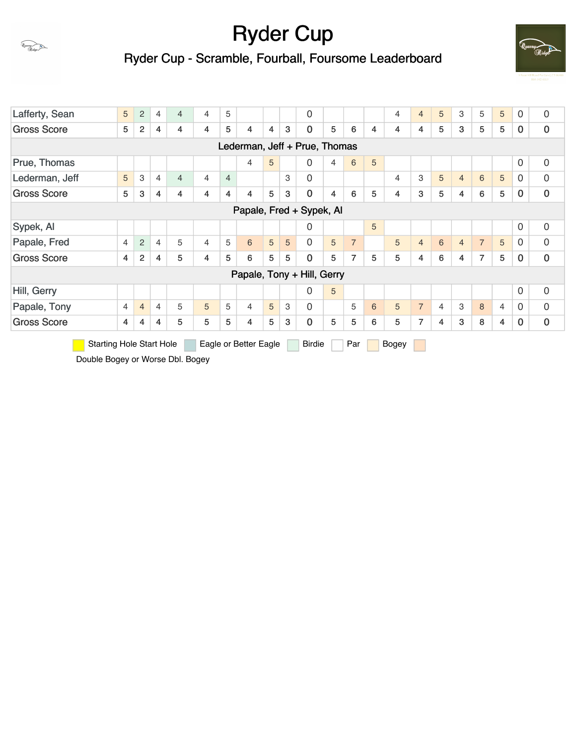

Ryder Cup - Scramble, Fourball, Foursome Leaderboard



| Lafferty, Sean                                 | 5              | 2              | 4 | $\overline{4}$ | $\overline{4}$ | 5              |                       |   |   | $\mathbf 0$                   |                |                |   | $\overline{4}$ | $\overline{4}$ | 5              | 3              | 5              | 5              | 0              | $\boldsymbol{0}$ |
|------------------------------------------------|----------------|----------------|---|----------------|----------------|----------------|-----------------------|---|---|-------------------------------|----------------|----------------|---|----------------|----------------|----------------|----------------|----------------|----------------|----------------|------------------|
| <b>Gross Score</b>                             | 5              | $\overline{2}$ | 4 | 4              | $\overline{4}$ | 5              | $\overline{4}$        | 4 | 3 | $\mathbf 0$                   | 5              | 6              | 4 | 4              | 4              | 5              | 3              | 5              | 5              | $\bf{0}$       | $\bf{0}$         |
|                                                |                |                |   |                |                |                |                       |   |   | Lederman, Jeff + Prue, Thomas |                |                |   |                |                |                |                |                |                |                |                  |
| Prue, Thomas                                   |                |                |   |                |                |                | $\overline{4}$        | 5 |   | $\mathbf 0$                   | $\overline{4}$ | 6              | 5 |                |                |                |                |                |                | $\overline{0}$ | $\mathbf 0$      |
| Lederman, Jeff                                 | 5              | 3              | 4 | $\overline{4}$ | $\overline{4}$ | $\overline{4}$ |                       |   | 3 | $\mathbf 0$                   |                |                |   | 4              | 3              | 5              | $\overline{4}$ | 6              | 5              | $\Omega$       | $\overline{0}$   |
| <b>Gross Score</b>                             | 5              | 3              | 4 | 4              | $\overline{4}$ | 4              | 4                     | 5 | 3 | $\mathbf 0$                   | 4              | 6              | 5 | 4              | 3              | 5              | 4              | 6              | 5              | 0              | $\mathbf 0$      |
|                                                |                |                |   |                |                |                |                       |   |   | Papale, Fred + Sypek, Al      |                |                |   |                |                |                |                |                |                |                |                  |
| $\mathbf 0$<br>5<br>$\Omega$<br>Sypek, Al<br>0 |                |                |   |                |                |                |                       |   |   |                               |                |                |   |                |                |                |                |                |                |                |                  |
| Papale, Fred                                   | 4              | $\overline{c}$ | 4 | 5              | 4              | 5              | 6                     | 5 | 5 | $\overline{0}$                | 5              | $\overline{7}$ |   | 5              | $\overline{4}$ | 6              | $\overline{4}$ | $\overline{7}$ | 5              | $\Omega$       | $\overline{0}$   |
| <b>Gross Score</b>                             | 4              | $\overline{c}$ | 4 | 5              | $\overline{4}$ | 5              | 6                     | 5 | 5 | $\mathbf 0$                   | 5              | $\overline{7}$ | 5 | 5              | 4              | 6              | 4              | $\overline{7}$ | 5              | $\bf{0}$       | $\bf{0}$         |
|                                                |                |                |   |                |                |                |                       |   |   | Papale, Tony + Hill, Gerry    |                |                |   |                |                |                |                |                |                |                |                  |
| Hill, Gerry                                    |                |                |   |                |                |                |                       |   |   | $\mathbf 0$                   | 5              |                |   |                |                |                |                |                |                | $\overline{0}$ | $\mathbf 0$      |
| Papale, Tony                                   | $\overline{4}$ | $\overline{4}$ | 4 | 5              | 5              | 5              | $\overline{4}$        | 5 | 3 | $\mathbf 0$                   |                | 5              | 6 | 5              | $\overline{7}$ | $\overline{4}$ | 3              | 8              | $\overline{4}$ | 0              | 0                |
| <b>Gross Score</b>                             | 4              | 4              | 4 | 5              | 5              | 5              | $\overline{4}$        | 5 | 3 | $\mathbf 0$                   | 5              | 5              | 6 | 5              | 7              | 4              | 3              | 8              | 4              | 0              | $\bf{0}$         |
| <b>Starting Hole Start Hole</b>                |                |                |   |                |                |                | Eagle or Better Eagle |   |   | <b>Birdie</b>                 |                | Par            |   | Bogey          |                |                |                |                |                |                |                  |

Double Bogey or Worse Dbl. Bogey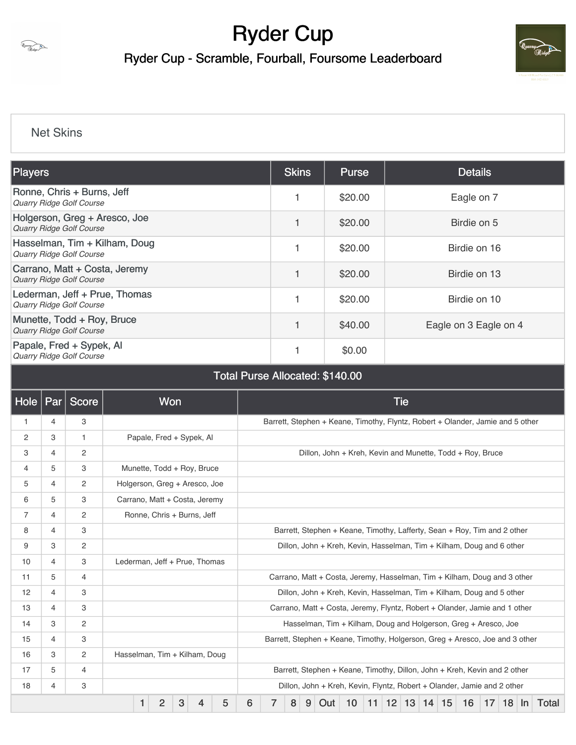

Ryder Cup - Scramble, Fourball, Foursome Leaderboard



### [Net Skins](https://static.golfgenius.com/v2tournaments/8430351806298602141?called_from=&round_index=1)

| <b>Players</b>                                                   | <b>Skins</b> | <b>Purse</b> | <b>Details</b>        |
|------------------------------------------------------------------|--------------|--------------|-----------------------|
| Ronne, Chris + Burns, Jeff<br>Quarry Ridge Golf Course           |              | \$20.00      | Eagle on 7            |
| Holgerson, Greg + Aresco, Joe<br><b>Quarry Ridge Golf Course</b> | 1            | \$20.00      | Birdie on 5           |
| Hasselman, Tim + Kilham, Doug<br><b>Quarry Ridge Golf Course</b> |              | \$20.00      | Birdie on 16          |
| Carrano, Matt + Costa, Jeremy<br><b>Quarry Ridge Golf Course</b> | 1            | \$20.00      | Birdie on 13          |
| Lederman, Jeff + Prue, Thomas<br><b>Quarry Ridge Golf Course</b> |              | \$20.00      | Birdie on 10          |
| Munette, Todd + Roy, Bruce<br>Quarry Ridge Golf Course           |              | \$40.00      | Eagle on 3 Eagle on 4 |
| Papale, Fred + Sypek, Al<br><b>Quarry Ridge Golf Course</b>      |              | \$0.00       |                       |

| $ $ Hole $ $   | Par | <b>Score</b>   |   | Won                           |   |   |   |                                                                          |   |   |   |                                                                                |    |  |              | <b>Tie</b> |  |              |    |    |               |  |       |
|----------------|-----|----------------|---|-------------------------------|---|---|---|--------------------------------------------------------------------------|---|---|---|--------------------------------------------------------------------------------|----|--|--------------|------------|--|--------------|----|----|---------------|--|-------|
| $\mathbf{1}$   | 4   | 3              |   |                               |   |   |   |                                                                          |   |   |   | Barrett, Stephen + Keane, Timothy, Flyntz, Robert + Olander, Jamie and 5 other |    |  |              |            |  |              |    |    |               |  |       |
| 2              | З   | 1.             |   | Papale, Fred + Sypek, Al      |   |   |   |                                                                          |   |   |   |                                                                                |    |  |              |            |  |              |    |    |               |  |       |
| 3              | 4   | 2              |   |                               |   |   |   |                                                                          |   |   |   | Dillon, John + Kreh, Kevin and Munette, Todd + Roy, Bruce                      |    |  |              |            |  |              |    |    |               |  |       |
| 4              | 5   | 3              |   | Munette, Todd + Roy, Bruce    |   |   |   |                                                                          |   |   |   |                                                                                |    |  |              |            |  |              |    |    |               |  |       |
| 5              | 4   | 2              |   | Holgerson, Greg + Aresco, Joe |   |   |   |                                                                          |   |   |   |                                                                                |    |  |              |            |  |              |    |    |               |  |       |
| 6              | 5   | 3              |   | Carrano, Matt + Costa, Jeremy |   |   |   |                                                                          |   |   |   |                                                                                |    |  |              |            |  |              |    |    |               |  |       |
| $\overline{7}$ | 4   | 2              |   | Ronne, Chris + Burns, Jeff    |   |   |   |                                                                          |   |   |   |                                                                                |    |  |              |            |  |              |    |    |               |  |       |
| 8              | 4   | 3              |   |                               |   |   |   | Barrett, Stephen + Keane, Timothy, Lafferty, Sean + Roy, Tim and 2 other |   |   |   |                                                                                |    |  |              |            |  |              |    |    |               |  |       |
| 9              | 3   | 2              |   |                               |   |   |   |                                                                          |   |   |   | Dillon, John + Kreh, Kevin, Hasselman, Tim + Kilham, Doug and 6 other          |    |  |              |            |  |              |    |    |               |  |       |
| 10             | 4   | 3              |   | Lederman, Jeff + Prue, Thomas |   |   |   |                                                                          |   |   |   |                                                                                |    |  |              |            |  |              |    |    |               |  |       |
| 11             | 5   | $\overline{4}$ |   |                               |   |   |   |                                                                          |   |   |   | Carrano, Matt + Costa, Jeremy, Hasselman, Tim + Kilham, Doug and 3 other       |    |  |              |            |  |              |    |    |               |  |       |
| 12             | 4   | 3              |   |                               |   |   |   |                                                                          |   |   |   | Dillon, John + Kreh, Kevin, Hasselman, Tim + Kilham, Doug and 5 other          |    |  |              |            |  |              |    |    |               |  |       |
| 13             | 4   | 3              |   |                               |   |   |   |                                                                          |   |   |   | Carrano, Matt + Costa, Jeremy, Flyntz, Robert + Olander, Jamie and 1 other     |    |  |              |            |  |              |    |    |               |  |       |
| 14             | З   | 2              |   |                               |   |   |   |                                                                          |   |   |   | Hasselman, Tim + Kilham, Doug and Holgerson, Greg + Aresco, Joe                |    |  |              |            |  |              |    |    |               |  |       |
| 15             | 4   | 3              |   |                               |   |   |   |                                                                          |   |   |   | Barrett, Stephen + Keane, Timothy, Holgerson, Greg + Aresco, Joe and 3 other   |    |  |              |            |  |              |    |    |               |  |       |
| 16             | З   | 2              |   | Hasselman, Tim + Kilham, Doug |   |   |   |                                                                          |   |   |   |                                                                                |    |  |              |            |  |              |    |    |               |  |       |
| 17             | 5   | 4              |   |                               |   |   |   |                                                                          |   |   |   | Barrett, Stephen + Keane, Timothy, Dillon, John + Kreh, Kevin and 2 other      |    |  |              |            |  |              |    |    |               |  |       |
| 18             | 4   | 3              |   |                               |   |   |   |                                                                          |   |   |   | Dillon, John + Kreh, Kevin, Flyntz, Robert + Olander, Jamie and 2 other        |    |  |              |            |  |              |    |    |               |  |       |
|                |     |                | 1 | 2                             | 3 | 4 | 5 | 6                                                                        | 7 | 8 | 9 | Out                                                                            | 10 |  | $11 \mid 12$ | 13         |  | $14 \mid 15$ | 16 | 17 | $18 \mid \ln$ |  | Total |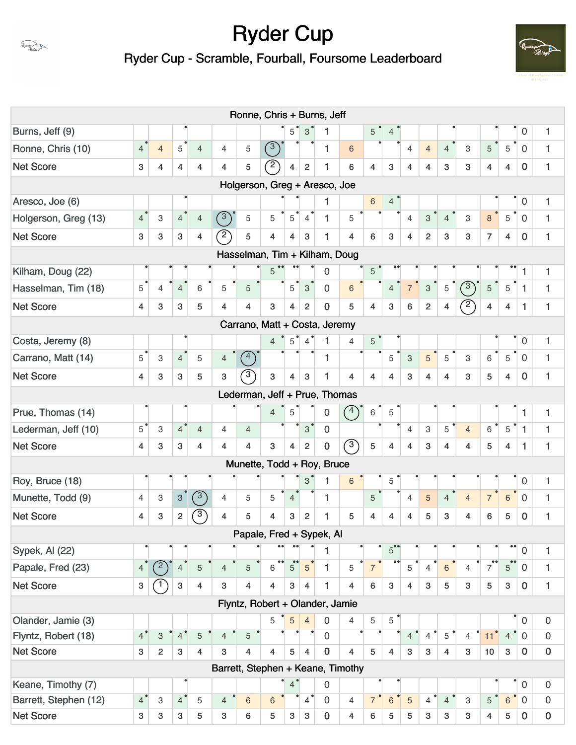# Uyassuy<br>Ridge

Ryder Cup

Ryder Cup - Scramble, Fourball, Foursome Leaderboard



|                       |                |                |                           |                |                                   | Ronne, Chris + Burns, Jeff      |                |                |                 |                |                 |                 |                      |                           |                           |                |                           |                 |                                     |                     |                  |
|-----------------------|----------------|----------------|---------------------------|----------------|-----------------------------------|---------------------------------|----------------|----------------|-----------------|----------------|-----------------|-----------------|----------------------|---------------------------|---------------------------|----------------|---------------------------|-----------------|-------------------------------------|---------------------|------------------|
| Burns, Jeff (9)       |                |                |                           |                |                                   |                                 |                | $5^{\degree}$  | $3^{\circ}$     | 1              |                 | $5^{\degree}$   | $\overline{4}$       |                           |                           |                |                           |                 |                                     | $\boldsymbol{0}$    | 1                |
| Ronne, Chris (10)     | $\overline{4}$ | $\overline{4}$ | $5^{\circ}$               | $\overline{4}$ | $\overline{4}$                    | 5                               | (3)            |                |                 | 1              | $\sqrt{6}$      |                 |                      | $\overline{4}$            | $\overline{4}$            | $\overline{4}$ | 3                         | $\sqrt{5}$      | 5                                   | $\mathbf 0$         | $\mathbf{1}$     |
| <b>Net Score</b>      | 3              | 4              | 4                         | $\overline{4}$ | 4                                 | 5                               | $\widehat{2}$  | 4              | $\overline{2}$  | 1              | 6               | $\overline{4}$  | $\mathbf{3}$         | 4                         | $\overline{4}$            | 3              | 3                         | $\overline{4}$  | $\overline{4}$                      | $\mathbf 0$         | 1                |
|                       |                |                |                           |                |                                   | Holgerson, Greg + Aresco, Joe   |                |                |                 |                |                 |                 |                      |                           |                           |                |                           |                 |                                     |                     |                  |
| Aresco, Joe (6)       |                |                |                           |                |                                   |                                 |                |                |                 | 1              |                 | $\,6$           | $\overline{4}$       |                           |                           |                |                           |                 |                                     | $\mathsf{O}\xspace$ | 1                |
| Holgerson, Greg (13)  | $\overline{4}$ | 3              | $\overline{4}$            | $\overline{4}$ | $\binom{3}{}$                     | 5                               | 5              | 5              | $\overline{4}$  | $\mathbf{1}$   | 5               |                 |                      | 4                         | $\mathbf{3}$              | $\overline{4}$ | 3                         | 8               | 5                                   | $\mathbf 0$         | $\mathbf{1}$     |
| <b>Net Score</b>      | 3              | 3              | 3                         | 4              | $\left( 2\right)$                 | 5                               | 4              | $\overline{4}$ | 3               | 1              | $\overline{4}$  | 6               | 3                    | $\overline{4}$            | $\overline{2}$            | 3              | 3                         | $\overline{7}$  | $\overline{4}$                      | $\mathbf 0$         | $\mathbf{1}$     |
|                       |                |                |                           |                |                                   | Hasselman, Tim + Kilham, Doug   |                |                |                 |                |                 |                 |                      |                           |                           |                |                           |                 |                                     |                     |                  |
| Kilham, Doug (22)     |                |                |                           |                |                                   |                                 | 5              |                |                 | 0              |                 | $\sqrt{5}$      |                      |                           |                           |                |                           |                 |                                     | 1                   | 1                |
| Hasselman, Tim (18)   | 5              | $\overline{4}$ | $\overline{4}$            | 6              | 5                                 | 5                               |                | 5              | $\overline{3}$  | $\mathbf 0$    | $6\overline{6}$ |                 | $\overline{4}$       |                           | $\mathbf{3}$              | $\overline{5}$ | $\binom{3}{}$             | $\overline{5}$  | $\overline{5}$                      | $\overline{1}$      | $\mathbf{1}$     |
| <b>Net Score</b>      | $\overline{4}$ | 3              | 3                         | 5              | 4                                 | $\overline{\mathbf{4}}$         | 3              | $\overline{4}$ | $\overline{2}$  | $\mathbf 0$    | 5               | $\overline{4}$  | $\mathbf{3}$         | 6                         | $\overline{2}$            | 4              | $^{\prime}$ 2             | $\overline{4}$  | $\overline{4}$                      | 1                   | 1                |
|                       |                |                |                           |                |                                   | Carrano, Matt + Costa, Jeremy   |                |                |                 |                |                 |                 |                      |                           |                           |                |                           |                 |                                     |                     |                  |
| Costa, Jeremy (8)     |                |                |                           |                |                                   |                                 | $\overline{4}$ |                | $5^{\degree}$ 4 | $\mathbf{1}$   | $\overline{4}$  | 5 <sup>°</sup>  |                      |                           |                           |                |                           |                 |                                     | $\mathbf 0$         | 1                |
| Carrano, Matt (14)    | 5              | 3              | 4 <sup>1</sup>            | 5              | $\overline{4}$                    | (4)                             |                |                |                 | $\mathbf{1}$   |                 |                 | 5                    | $\ensuremath{\mathsf{3}}$ | 5 <sup>5</sup>            | 5              | $\ensuremath{\mathsf{3}}$ | $6^{\circ}$     | $\overline{5}$                      | $\mathbf 0$         | $\mathbf{1}$     |
| <b>Net Score</b>      | $\overline{4}$ | 3              | $\mathbf{3}$              | 5              | 3                                 | $\mathcal{S}$                   | 3              | $\overline{4}$ | $\mathbf{3}$    | 1              | 4               | $\overline{4}$  | 4                    | 3                         | $\overline{4}$            | $\overline{4}$ | 3                         | 5               | $\overline{4}$                      | $\bf{0}$            | 1                |
|                       |                |                |                           |                |                                   | Lederman, Jeff + Prue, Thomas   |                |                |                 |                |                 |                 |                      |                           |                           |                |                           |                 |                                     |                     |                  |
| Prue, Thomas (14)     |                |                |                           |                |                                   |                                 | $\overline{4}$ | 5              |                 | $\mathbf 0$    | (4)             | $6\phantom{.}6$ | $\overline{5}$       |                           |                           |                |                           |                 |                                     | $\mathbf{1}$        | $\mathbf{1}$     |
| Lederman, Jeff (10)   | $5^{\circ}$    | 3              | $4^{\degree}$             | $\overline{4}$ | 4                                 | $\overline{4}$                  |                |                | $3^{\degree}$   | $\overline{0}$ |                 |                 |                      | $\overline{4}$            | $\ensuremath{\mathsf{3}}$ | 5              | $\overline{4}$            | 6               | 5                                   | $\mathbf{1}$        | $\mathbf{1}$     |
| <b>Net Score</b>      | $\overline{4}$ | 3              | 3                         | 4              | 4                                 | $\overline{4}$                  | 3              | $\overline{4}$ | $\overline{2}$  | $\pmb{0}$      | $\circled{3}$   | 5               | 4                    | $\overline{4}$            | $\mathbf{3}$              | $\overline{4}$ | 4                         | 5               | $\overline{4}$                      | 1                   | 1                |
|                       |                |                |                           |                |                                   | Munette, Todd + Roy, Bruce      |                |                |                 |                |                 |                 |                      |                           |                           |                |                           |                 |                                     |                     |                  |
| Roy, Bruce (18)       |                |                |                           |                |                                   |                                 |                |                | 3               | $\mathbf{1}$   | $\sqrt{6}$      |                 | 5                    |                           |                           |                |                           |                 |                                     | $\boldsymbol{0}$    | 1                |
| Munette, Todd (9)     | 4              | 3              | 3 <sup>1</sup>            | (3)            | $\overline{4}$                    | 5                               | 5              | 4              |                 | 1              |                 | $5\phantom{.}$  |                      | 4                         | $\overline{5}$            | $\overline{4}$ | $\overline{4}$            | $\overline{7}$  | $6\phantom{.}$                      | $\mathbf 0$         | $\mathbf{1}$     |
| <b>Net Score</b>      | 4              | 3              | 2 <sup>1</sup>            | $\mathcal{F}$  | 4                                 | 5                               | 4              | 3              | $\overline{2}$  | 1              | 5               | 4               | 4                    | 4                         | 5                         | 3              | 4                         | 6               | 5                                   | $\mathbf 0$         | 1                |
|                       |                |                |                           |                |                                   | Papale, Fred + Sypek, Al        |                |                |                 |                |                 |                 |                      |                           |                           |                |                           |                 |                                     |                     |                  |
| Sypek, Al (22)        |                |                |                           |                |                                   |                                 |                |                |                 | 1              |                 |                 | $5^{\bullet\bullet}$ |                           |                           |                |                           |                 | $\bullet$                           | $\boldsymbol{0}$    | 1                |
| Papale, Fred (23)     | $\overline{4}$ | (2)            | $\overline{4}$            | 5              | 4                                 | 5                               | $\bullet$<br>6 | 5              | 5               | $\mathbf{1}$   | 5               | $\overline{7}$  |                      | 5                         | $\overline{4}$            | $\,$ 6 $\,$    | 4                         | $\overline{7}$  | $\bullet \bullet$<br>$5\phantom{.}$ | $\mathbf 0$         | 1                |
| <b>Net Score</b>      | $\mathbf{3}$   |                | $\ensuremath{\mathsf{3}}$ | $\overline{4}$ | 3                                 | 4                               | 4              | $\mathbf{3}$   | 4               | $\mathbf{1}$   | $\overline{4}$  | 6               | $\mathbf{3}$         | $\overline{4}$            | 3                         | 5              | $\mathbf{3}$              | 5               | $\mathbf{3}$                        | $\mathbf 0$         | $\mathbf{1}$     |
|                       |                |                |                           |                |                                   | Flyntz, Robert + Olander, Jamie |                |                |                 |                |                 |                 |                      |                           |                           |                |                           |                 |                                     |                     |                  |
| Olander, Jamie (3)    |                |                |                           |                |                                   |                                 | 5              | 5              | $\overline{4}$  | $\mathbf 0$    | 4               | 5               | 5                    |                           |                           |                |                           |                 |                                     | $\mathbf 0$         | $\boldsymbol{0}$ |
| Flyntz, Robert (18)   | $\overline{4}$ | $\,$ 3 $\,$    | 4 <sup>°</sup>            | 5              | $\overline{4}$                    | $\sqrt{5}$                      |                |                |                 | $\mathbf 0$    |                 |                 |                      | $\overline{4}$            | $\overline{4}$            | 5              | $\overline{4}$            | 11 <sup>°</sup> | $\overline{4}$                      | $\mathbf 0$         | $\boldsymbol{0}$ |
| <b>Net Score</b>      | 3              | $\overline{2}$ | $\mathbf{3}$              | $\overline{4}$ | 3                                 | $\overline{4}$                  | 4              | 5              | $\overline{4}$  | $\mathbf 0$    | 4               | 5               | $\overline{4}$       | 3                         | 3                         | $\overline{4}$ | 3                         | 10              | $\mathbf{3}$                        | $\mathbf 0$         | $\pmb{0}$        |
|                       |                |                |                           |                | Barrett, Stephen + Keane, Timothy |                                 |                |                |                 |                |                 |                 |                      |                           |                           |                |                           |                 |                                     |                     |                  |
| Keane, Timothy (7)    |                |                |                           |                |                                   |                                 |                | $4^{\circ}$    |                 | 0              |                 |                 | $\bullet$            |                           |                           |                |                           |                 |                                     | $\mathsf{O}\xspace$ | 0                |
| Barrett, Stephen (12) | $4^{\degree}$  | 3              | $4^{\bullet}$             | 5              | $\overline{4}$                    | $6\,$                           | $6\phantom{1}$ |                | $4^{\degree}$   | $\mathbf 0$    | $\overline{4}$  | 7 <sup>•</sup>  | $6\,$                | 5                         | $4^{\circ}$               | $\overline{4}$ | 3                         | 5               | $\bullet$<br>$6\phantom{a}$         | $\mathbf 0$         | $\boldsymbol{0}$ |
| <b>Net Score</b>      | 3              | 3              | $\mathbf{3}$              | 5              | 3                                 | $6\phantom{a}$                  | 5              | 3              | 3               | $\pmb{0}$      | $\overline{4}$  | 6               | 5                    | 5                         | 3                         | $\mathbf{3}$   | 3                         | $\overline{4}$  | $\sqrt{5}$                          | $\bf{0}$            | $\pmb{0}$        |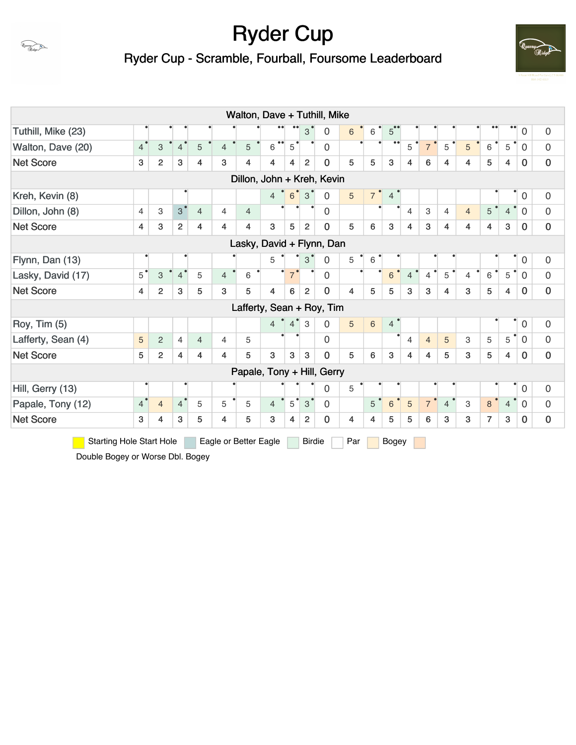Ryder Cup - Scramble, Fourball, Foursome Leaderboard



| Walton, Dave + Tuthill, Mike |                                                                                                                               |                |                |                |                |                         |                            |                |                |                |   |                |                |                |                |                |                           |                |                |                        |                  |
|------------------------------|-------------------------------------------------------------------------------------------------------------------------------|----------------|----------------|----------------|----------------|-------------------------|----------------------------|----------------|----------------|----------------|---|----------------|----------------|----------------|----------------|----------------|---------------------------|----------------|----------------|------------------------|------------------|
| Tuthill, Mike (23)           |                                                                                                                               |                |                |                |                |                         |                            |                | 3              | $\mathbf{0}$   | 6 | 6              | 5              |                |                |                |                           |                |                | $\boldsymbol{0}$       | 0                |
| Walton, Dave (20)            | 4 <sup>°</sup>                                                                                                                | $\,$ 3 $\,$    | 4 <sup>°</sup> | 5              | $\overline{4}$ | 5                       | $\bullet\bullet$<br>6      | 5 <sup>1</sup> |                | $\mathbf 0$    |   |                |                | 5              | $\overline{7}$ | 5              | 5                         | $6\phantom{1}$ | $\overline{5}$ | $\overline{0}$         | $\overline{0}$   |
| <b>Net Score</b>             | 3                                                                                                                             | $\overline{2}$ | 3              | 4              | 3              | 4                       | 4                          | $\overline{4}$ | $\overline{2}$ | $\bf{0}$       | 5 | 5              | 3              | 4              | 6              | 4              | 4                         | 5              | 4              | $\mathbf 0$            | $\mathbf 0$      |
|                              |                                                                                                                               |                |                |                |                |                         | Dillon, John + Kreh, Kevin |                |                |                |   |                |                |                |                |                |                           |                |                |                        |                  |
| Kreh, Kevin (8)              |                                                                                                                               |                |                |                |                |                         | $4^{\circ}$                | $6^{\degree}$  | $3^{\circ}$    | $\mathbf 0$    | 5 | 7 <sup>°</sup> | $\overline{4}$ |                |                |                |                           |                |                | $\overline{0}$         | $\overline{0}$   |
| Dillon, John (8)             | $\overline{4}$                                                                                                                | 3              | $3^{\degree}$  | $\overline{4}$ | $\overline{4}$ | $\overline{4}$          |                            |                |                | $\overline{0}$ |   |                |                | $\overline{4}$ | 3              | 4              | $\overline{4}$            | 5              | $\overline{4}$ | $\overline{0}$         | 0                |
| <b>Net Score</b>             | 4                                                                                                                             | 3              | $\overline{c}$ | 4              | 4              | $\overline{\mathbf{4}}$ | 3                          | 5              | $\overline{2}$ | $\mathbf 0$    | 5 | 6              | 3              | $\overline{4}$ | 3              | 4              | $\overline{4}$            | 4              | 3              | $\mathbf 0$            | $\mathbf 0$      |
|                              |                                                                                                                               |                |                |                |                |                         | Lasky, David + Flynn, Dan  |                |                |                |   |                |                |                |                |                |                           |                |                |                        |                  |
| Flynn, Dan (13)              |                                                                                                                               |                |                |                |                |                         | 5                          |                | 3              | $\mathbf 0$    | 5 | 6              |                |                |                |                |                           |                |                | $\mathsf{O}\xspace$    | $\boldsymbol{0}$ |
| Lasky, David (17)            | $\overline{5}$                                                                                                                | $\,$ 3 $\,$    | $4^{\degree}$  | 5              | $\overline{4}$ | 6                       |                            | $7^{\degree}$  |                | $\mathbf 0$    |   |                | 6              | $\overline{4}$ | $\overline{4}$ | 5              | 4                         | 6              | 5              | $\Omega$               | $\overline{0}$   |
| <b>Net Score</b>             | $\overline{4}$                                                                                                                | $\overline{c}$ | 3              | 5              | 3              | 5                       | 4                          | 6              | 2              | $\mathbf 0$    | 4 | 5              | 5              | 3              | 3              | 4              | 3                         | 5              | 4              | $\mathbf 0$            | $\mathbf 0$      |
|                              |                                                                                                                               |                |                |                |                |                         | Lafferty, Sean + Roy, Tim  |                |                |                |   |                |                |                |                |                |                           |                |                |                        |                  |
| Roy, Tim (5)                 |                                                                                                                               |                |                |                |                |                         | $\overline{4}$             | $4^{\degree}$  | 3              | $\mathbf{0}$   | 5 | $6\phantom{1}$ | $\overline{4}$ |                |                |                |                           |                |                | $\mathbf 0$            | 0                |
| Lafferty, Sean (4)           | 5                                                                                                                             | 2              | $\overline{4}$ | $\overline{4}$ | $\overline{4}$ | 5                       |                            |                |                | $\overline{0}$ |   |                |                | 4              | $\overline{4}$ | 5              | 3                         | 5              | 5              | $\overline{\bullet}$ 0 | 0                |
| <b>Net Score</b>             | 5                                                                                                                             | $\overline{2}$ | $\overline{4}$ | 4              | 4              | 5                       | 3                          | 3              | 3              | $\mathbf 0$    | 5 | 6              | 3              | 4              | $\overline{4}$ | 5              | 3                         | 5              | $\overline{4}$ | $\mathbf 0$            | $\mathbf 0$      |
|                              |                                                                                                                               |                |                |                |                |                         | Papale, Tony + Hill, Gerry |                |                |                |   |                |                |                |                |                |                           |                |                |                        |                  |
| Hill, Gerry (13)             |                                                                                                                               |                |                |                |                |                         |                            |                |                | $\mathbf 0$    | 5 |                |                |                |                |                |                           |                |                | $\overline{0}$         | $\overline{0}$   |
| Papale, Tony (12)            | $\overline{4}$                                                                                                                | $\overline{4}$ | 4 <sup>°</sup> | 5              | 5              | 5                       | $\overline{4}$             | $5^{\degree}$  | $3^{\circ}$    | $\mathbf 0$    |   | 5              | $6\phantom{1}$ | $\overline{5}$ | 7 <sup>o</sup> | $\overline{4}$ | $\ensuremath{\mathsf{3}}$ | $\,8\,$        | $\overline{4}$ | $\bullet$ 0            | $\mathbf 0$      |
| <b>Net Score</b>             | 3                                                                                                                             | 4              | 3              | 5              | $\overline{4}$ | 5                       | 3                          | $\overline{4}$ | $\overline{2}$ | $\bf{0}$       | 4 | $\overline{4}$ | 5              | 5              | 6              | 3              | 3                         | $\overline{7}$ | 3              | $\bf{0}$               | $\boldsymbol{0}$ |
|                              | <b>Starting Hole Start Hole</b><br>Eagle or Better Eagle<br><b>Birdie</b><br>Par<br>Bogey<br>Double Bogey or Worse Dbl. Bogey |                |                |                |                |                         |                            |                |                |                |   |                |                |                |                |                |                           |                |                |                        |                  |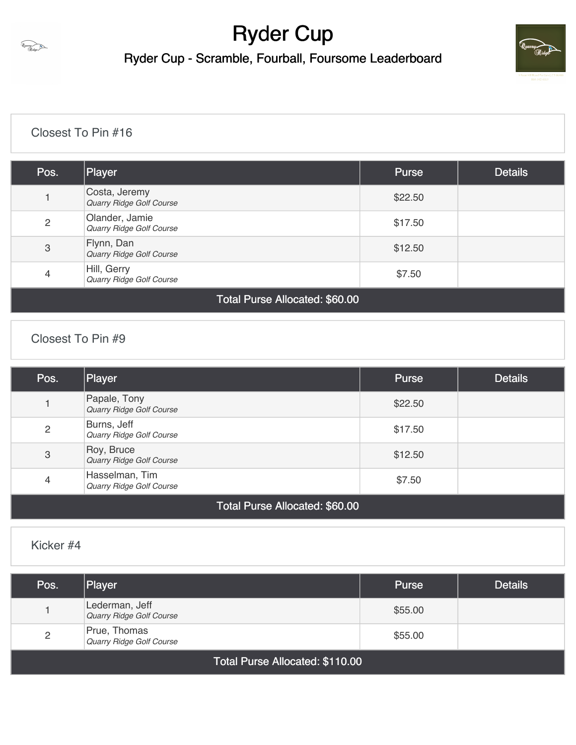

Ryder Cup - Scramble, Fourball, Foursome Leaderboard



### [Closest To Pin #16](https://static.golfgenius.com/v2tournaments/8427842749922818601?called_from=&round_index=1)

| Pos.           | Player                                     | <b>Purse</b> | <b>Details</b> |
|----------------|--------------------------------------------|--------------|----------------|
|                | Costa, Jeremy<br>Quarry Ridge Golf Course  | \$22.50      |                |
| $\overline{2}$ | Olander, Jamie<br>Quarry Ridge Golf Course | \$17.50      |                |
| $\sqrt{3}$     | Flynn, Dan<br>Quarry Ridge Golf Course     | \$12.50      |                |
| 4              | Hill, Gerry<br>Quarry Ridge Golf Course    | \$7.50       |                |
|                | Total Purse Allocated: \$60.00             |              |                |

### [Closest To Pin #9](https://static.golfgenius.com/v2tournaments/8427842753177598506?called_from=&round_index=1)

| Pos.                      | Player                                                                                                                                                                                                                                                                                                                                                                                                                                                                       | <b>Purse</b> | <b>Details</b> |
|---------------------------|------------------------------------------------------------------------------------------------------------------------------------------------------------------------------------------------------------------------------------------------------------------------------------------------------------------------------------------------------------------------------------------------------------------------------------------------------------------------------|--------------|----------------|
|                           | Papale, Tony<br>Quarry Ridge Golf Course                                                                                                                                                                                                                                                                                                                                                                                                                                     | \$22.50      |                |
| $\overline{2}$            | Burns, Jeff<br>Quarry Ridge Golf Course                                                                                                                                                                                                                                                                                                                                                                                                                                      | \$17.50      |                |
| $\ensuremath{\mathsf{3}}$ | Roy, Bruce<br>Quarry Ridge Golf Course                                                                                                                                                                                                                                                                                                                                                                                                                                       | \$12.50      |                |
| 4                         | Hasselman, Tim<br>Quarry Ridge Golf Course                                                                                                                                                                                                                                                                                                                                                                                                                                   | \$7.50       |                |
|                           | $T \cdot \mathbf{I} \cdot \mathbf{D}$ all $\mathbf{I} \cdot \mathbf{A} \cdot \mathbf{A} \cdot \mathbf{A} \cdot \mathbf{A} \cdot \mathbf{A} \cdot \mathbf{A} \cdot \mathbf{A} \cdot \mathbf{A} \cdot \mathbf{A} \cdot \mathbf{A} \cdot \mathbf{A} \cdot \mathbf{A} \cdot \mathbf{A} \cdot \mathbf{A} \cdot \mathbf{A} \cdot \mathbf{A} \cdot \mathbf{A} \cdot \mathbf{A} \cdot \mathbf{A} \cdot \mathbf{A} \cdot \mathbf{A} \cdot \mathbf{A} \cdot \mathbf{A} \cdot \mathbf{$ |              |                |

### Total Purse Allocated: \$60.00

### [Kicker #4](https://static.golfgenius.com/v2tournaments/8427842756163942955?called_from=&round_index=1)

| Pos.                            | Player                                     | <b>Purse</b> | <b>Details</b> |  |  |  |  |
|---------------------------------|--------------------------------------------|--------------|----------------|--|--|--|--|
|                                 | Lederman, Jeff<br>Quarry Ridge Golf Course | \$55.00      |                |  |  |  |  |
| $\overline{c}$                  | Prue, Thomas<br>Quarry Ridge Golf Course   | \$55.00      |                |  |  |  |  |
| Total Purse Allocated: \$110.00 |                                            |              |                |  |  |  |  |